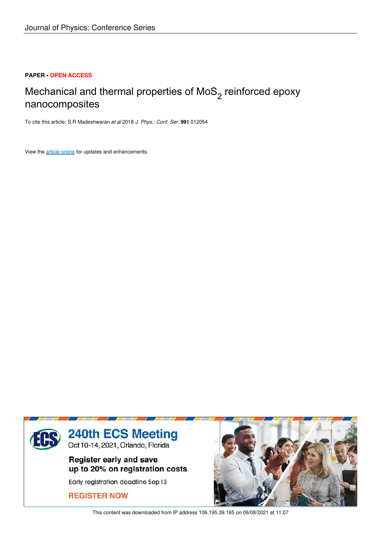## **PAPER • OPEN ACCESS**

## Mechanical and thermal properties of MoS $_2$  reinforced epoxy nanocomposites

To cite this article: S R Madeshwaran *et al* 2018 *J. Phys.: Conf. Ser.* **991** 012054

View the article online for updates and enhancements.



This content was downloaded from IP address 106.195.39.165 on 06/08/2021 at 11:07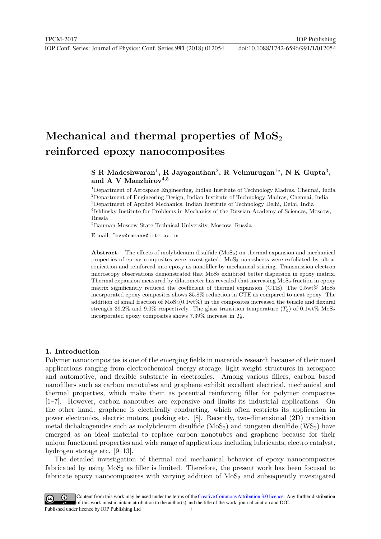# Mechanical and thermal properties of  $MoS<sub>2</sub>$ reinforced epoxy nanocomposites

## S R Madeshwaran<sup>1</sup>, R Jayaganthan<sup>2</sup>, R Velmurugan<sup>1\*</sup>, N K Gupta<sup>3</sup>, and A V Manzhirov $4,5$

<sup>1</sup>Department of Aerospace Engineering, Indian Institute of Technology Madras, Chennai, India <sup>2</sup>Department of Engineering Design, Indian Institute of Technology Madras, Chennai, India  ${}^{3}$ Department of Applied Mechanics, Indian Institute of Technology Delhi, Delhi, India 4 Ishlinsky Institute for Problems in Mechanics of the Russian Academy of Sciences, Moscow, Russia

<sup>5</sup>Bauman Moscow State Technical University, Moscow, Russia

E-mail: <sup>∗</sup> mvs@ramanv@iitm.ac.in

Abstract. The effects of molybdenum disulfide  $(MoS<sub>2</sub>)$  on thermal expansion and mechanical properties of epoxy composites were investigated. MoS<sup>2</sup> nanosheets were exfoliated by ultrasonication and reinforced into epoxy as nanofiller by mechanical stirring. Transmission electron microscopy observations demonstrated that MoS<sup>2</sup> exhibited better dispersion in epoxy matrix. Thermal expansion measured by dilatometer has revealed that increasing  $MoS<sub>2</sub>$  fraction in epoxy matrix significantly reduced the coefficient of thermal expansion (CTE). The  $0.5wt\%$  MoS<sub>2</sub> incorporated epoxy composites shows 35.8% reduction in CTE as compared to neat epoxy. The addition of small fraction of  $\text{MoS}_2(0.1\text{wt}\%)$  in the composites increased the tensile and flexural strength 39.2% and 9.0% respectively. The glass transition temperature  $(T_q)$  of 0.1wt% MoS<sub>2</sub> incorporated epoxy composites shows 7.39% increase in  $T<sub>g</sub>$ .

## 1. Introduction

Polymer nanocomposites is one of the emerging fields in materials research because of their novel applications ranging from electrochemical energy storage, light weight structures in aerospace and automotive, and flexible substrate in electronics. Among various fillers, carbon based nanofillers such as carbon nanotubes and graphene exhibit excellent electrical, mechanical and thermal properties, which make them as potential reinforcing filler for polymer composites [1–7]. However, carbon nanotubes are expensive and limits its industrial applications. On the other hand, graphene is electrically conducting, which often restricts its application in power electronics, electric motors, packing etc. [8]. Recently, two-dimensional (2D) transition metal dichalcogenides such as molybdenum disulfide  $(MoS<sub>2</sub>)$  and tungsten disulfide  $(WS<sub>2</sub>)$  have emerged as an ideal material to replace carbon nanotubes and graphene because for their unique functional properties and wide range of applications including lubricants, electro catalyst, hydrogen storage etc. [9–13].

The detailed investigation of thermal and mechanical behavior of epoxy nanocomposites fabricated by using  $MoS<sub>2</sub>$  as filler is limited. Therefore, the present work has been focused to fabricate epoxy nanocomposites with varying addition of  $MoS<sub>2</sub>$  and subsequently investigated

1 Content from this work may be used under the terms of theCreative Commons Attribution 3.0 licence. Any further distribution of this work must maintain attribution to the author(s) and the title of the work, journal citation and DOI. Published under licence by IOP Publishing Ltd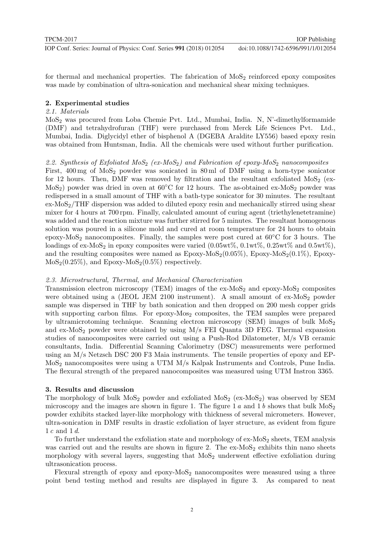for thermal and mechanical properties. The fabrication of  $MoS<sub>2</sub>$  reinforced epoxy composites was made by combination of ultra-sonication and mechanical shear mixing techniques.

## 2. Experimental studies

## 2.1. Materials

MoS2 was procured from Loba Chemie Pvt. Ltd., Mumbai, India. N, N'-dimethylformamide (DMF) and tetrahydrofuran (THF) were purchased from Merck Life Sciences Pvt. Ltd., Mumbai, India. Diglycidyl ether of bisphenol A (DGEBA Araldite LY556) based epoxy resin was obtained from Huntsman, India. All the chemicals were used without further purification.

## 2.2. Synthesis of Exfoliated MoS<sub>2</sub> (ex-MoS<sub>2</sub>) and Fabrication of epoxy-MoS<sub>2</sub> nanocomposites

First,  $400 \text{ mg}$  of  $\text{MoS}_2$  powder was sonicated in 80 ml of DMF using a horn-type sonicator for 12 hours. Then, DMF was removed by filtration and the resultant exfoliated  $MoS<sub>2</sub>$  (ex-MoS<sub>2</sub>) powder was dried in oven at  $60^{\circ}$ C for 12 hours. The as-obtained ex-MoS<sub>2</sub> powder was redispersed in a small amount of THF with a bath-type sonicator for 30 minutes. The resultant  $ex-MoS<sub>2</sub>/THF$  dispersion was added to diluted epoxy resin and mechanically stirred using shear mixer for 4 hours at 700 rpm. Finally, calculated amount of curing agent (triethylenetetramine) was added and the reaction mixture was further stirred for 5 minutes. The resultant homogenous solution was poured in a silicone mold and cured at room temperature for 24 hours to obtain epoxy-MoS<sub>2</sub> nanocomposites. Finally, the samples were post cured at  $60^{\circ}$ C for 3 hours. The loadings of ex-MoS<sub>2</sub> in epoxy composites were varied  $(0.05wt\%, 0.1wt\%, 0.25wt\%$  and  $0.5wt\%,$ and the resulting composites were named as  $Epoxy-MoS<sub>2</sub>(0.05%), Epoxy-MoS<sub>2</sub>(0.1%), Epoxy MoS_2(0.25\%)$ , and  $Epoxy-MoS_2(0.5\%)$  respectively.

## 2.3. Microstructural, Thermal, and Mechanical Characterization

Transmission electron microscopy (TEM) images of the  $ex\text{-}MoS<sub>2</sub>$  and epoxy-MoS<sub>2</sub> composites were obtained using a (JEOL JEM 2100 instrument). A small amount of  $ex-MoS<sub>2</sub>$  powder sample was dispersed in THF by bath sonication and then dropped on 200 mesh copper grids with supporting carbon films. For epoxy-Mos<sub>2</sub> composites, the TEM samples were prepared by ultramicrotoming technique. Scanning electron microscopy (SEM) images of bulk  $Mo<sub>2</sub>$ and ex-MoS<sub>2</sub> powder were obtained by using  $M/s$  FEI Quanta 3D FEG. Thermal expansion studies of nanocomposites were carried out using a Push-Rod Dilatometer, M/s VB ceramic consultants, India. Differential Scanning Calorimetry (DSC) measurements were performed using an M/s Netzsch DSC 200 F3 Maia instruments. The tensile properties of epoxy and EP-MoS2 nanocomposites were using a UTM M/s Kalpak Instruments and Controls, Pune India. The flexural strength of the prepared nanocomposites was measured using UTM Instron 3365.

## 3. Results and discussion

The morphology of bulk  $MoS_2$  powder and exfoliated  $MoS_2$  (ex- $MoS_2$ ) was observed by SEM microscopy and the images are shown in figure 1. The figure 1  $a$  and 1  $b$  shows that bulk  $\text{MoS}_2$ powder exhibits stacked layer-like morphology with thickness of several micrometers. However, ultra-sonication in DMF results in drastic exfoliation of layer structure, as evident from figure 1 c and 1 d.

To further understand the exfoliation state and morphology of  $ex\text{-}MoS<sub>2</sub>$  sheets, TEM analysis was carried out and the results are shown in figure 2. The  $ex\text{-}MoS<sub>2</sub>$  exhibits thin nano sheets morphology with several layers, suggesting that  $MoS<sub>2</sub>$  underwent effective exfoliation during ultrasonication process.

Flexural strength of epoxy and epoxy- $MoS<sub>2</sub>$  nanocomposites were measured using a three point bend testing method and results are displayed in figure 3. As compared to neat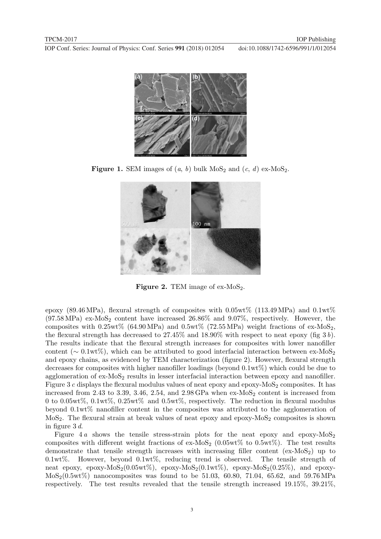

**Figure 1.** SEM images of  $(a, b)$  bulk MoS<sub>2</sub> and  $(c, d)$  ex-MoS<sub>2</sub>.



Figure 2. TEM image of ex- $MoS<sub>2</sub>$ .

epoxy (89.46 MPa), flexural strength of composites with  $0.05wt\%$  (113.49 MPa) and  $0.1wt\%$  $(97.58 \text{ MPa})$  ex-MoS<sub>2</sub> content have increased  $26.86\%$  and  $9.07\%$ , respectively. However, the composites with  $0.25wt\%$  (64.90 MPa) and  $0.5wt\%$  (72.55 MPa) weight fractions of ex-MoS<sub>2</sub>, the flexural strength has decreased to  $27.45\%$  and  $18.90\%$  with respect to neat epoxy (fig 3 b). The results indicate that the flexural strength increases for composites with lower nanofiller content ( $\sim 0.1 \text{wt}\%$ ), which can be attributed to good interfacial interaction between ex-MoS<sub>2</sub> and epoxy chains, as evidenced by TEM characterization (figure 2). However, flexural strength decreases for composites with higher nanofiller loadings (beyond 0.1wt%) which could be due to agglomeration of  $ex-MoS<sub>2</sub>$  results in lesser interfacial interaction between epoxy and nanofiller. Figure 3  $c$  displays the flexural modulus values of neat epoxy and epoxy-MoS<sub>2</sub> composites. It has increased from 2.43 to 3.39, 3.46, 2.54, and  $2.98$  GPa when  $ex$ -MoS<sub>2</sub> content is increased from 0 to 0.05wt%, 0.1wt%, 0.25wt% and 0.5wt%, respectively. The reduction in flexural modulus beyond 0.1wt% nanofiller content in the composites was attributed to the agglomeration of  $MoS<sub>2</sub>$ . The flexural strain at break values of neat epoxy and epoxy- $MoS<sub>2</sub>$  composites is shown in figure 3 d.

Figure 4 a shows the tensile stress-strain plots for the neat epoxy and epoxy- $MoS<sub>2</sub>$ composites with different weight fractions of ex-MoS<sub>2</sub> (0.05wt% to 0.5wt%). The test results demonstrate that tensile strength increases with increasing filler content  $(ex-MoS<sub>2</sub>)$  up to 0.1wt%. However, beyond 0.1wt%, reducing trend is observed. The tensile strength of neat epoxy, epoxy-MoS<sub>2</sub>(0.05wt%), epoxy-MoS<sub>2</sub>(0.1wt%), epoxy-MoS<sub>2</sub>(0.25%), and epoxy- $MoS<sub>2</sub>(0.5wt%)$  nanocomposites was found to be 51.03, 60.80, 71.04, 65.62, and 59.76 MPa respectively. The test results revealed that the tensile strength increased 19.15%, 39.21%,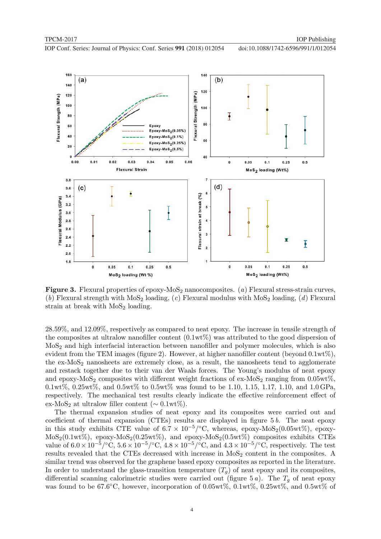

Figure 3. Flexural properties of epoxy- $MoS<sub>2</sub>$  nanocomposites. (a) Flexural stress-strain curves, (b) Flexural strength with  $MoS<sub>2</sub>$  loading, (c) Flexural modulus with  $MoS<sub>2</sub>$  loading, (d) Flexural strain at break with  $MoS<sub>2</sub>$  loading.

28.59%, and 12.09%, respectively as compared to neat epoxy. The increase in tensile strength of the composites at ultralow nanofiller content  $(0.1wt\%)$  was attributed to the good dispersion of MoS2 and high interfacial interaction between nanofiller and polymer molecules, which is also evident from the TEM images (figure 2). However, at higher nanofiller content (beyond 0.1wt%), the  $ex-MoS<sub>2</sub>$  nanosheets are extremely close, as a result, the nanosheets tend to agglomerate and restack together due to their van der Waals forces. The Young's modulus of neat epoxy and epoxy-MoS<sub>2</sub> composites with different weight fractions of ex-MoS<sub>2</sub> ranging from  $0.05wt\%$ ,  $0.1wt\%, 0.25wt\%, \text{ and } 0.5wt\%$  to  $0.5wt\%$  was found to be 1.10, 1.15, 1.17, 1.10, and 1.0 GPa, respectively. The mechanical test results clearly indicate the effective reinforcement effect of ex-MoS<sub>2</sub> at ultralow filler content ( $\sim 0.1 \text{wt}\%$ ).

The thermal expansion studies of neat epoxy and its composites were carried out and coefficient of thermal expansion (CTEs) results are displayed in figure 5 b. The neat epoxy in this study exhibits CTE value of  $6.7 \times 10^{-5}/^{\circ}$ C, whereas, epoxy-MoS<sub>2</sub>(0.05wt%), epoxy- $MoS<sub>2</sub>(0.1wt\%)$ , epoxy- $MoS<sub>2</sub>(0.25wt\%)$ , and epoxy- $MoS<sub>2</sub>(0.5wt\%)$  composites exhibits CTEs value of  $6.0 \times 10^{-5} / \text{°C}$ ,  $5.6 \times 10^{-5} / \text{°C}$ ,  $4.8 \times 10^{-5} / \text{°C}$ , and  $4.3 \times 10^{-5} / \text{°C}$ , respectively. The test results revealed that the CTEs decreased with increase in  $Mo<sub>2</sub>$  content in the composites. A similar trend was observed for the graphene based epoxy composites as reported in the literature. In order to understand the glass-transition temperature  $(T_q)$  of neat epoxy and its composites, differential scanning calorimetric studies were carried out (figure 5 a). The  $T<sub>q</sub>$  of neat epoxy was found to be 67.6°C, however, incorporation of 0.05wt%,  $0.1wt\%$ ,  $0.25wt\%$ , and  $0.5wt\%$  of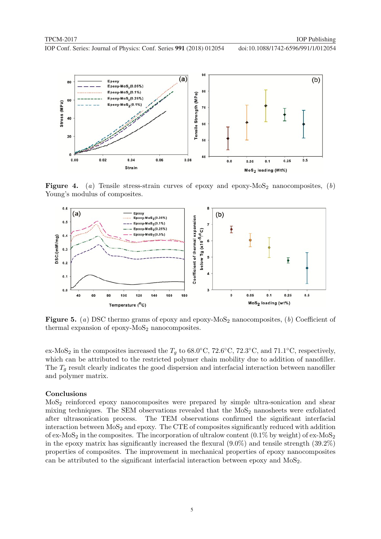

Figure 4. (a) Tensile stress-strain curves of epoxy and epoxy-MoS<sub>2</sub> nanocomposites, (b) Young's modulus of composites.



**Figure 5.** (a) DSC thermo grams of epoxy and epoxy- $MoS<sub>2</sub>$  nanocomposites, (b) Coefficient of thermal expansion of epoxy- $MoS<sub>2</sub>$  nanocomposites.

ex-MoS<sub>2</sub> in the composites increased the  $T_g$  to 68.0°C, 72.6°C, 72.3°C, and 71.1°C, respectively, which can be attributed to the restricted polymer chain mobility due to addition of nanofiller. The  $T_q$  result clearly indicates the good dispersion and interfacial interaction between nanofiller and polymer matrix.

## Conclusions

MoS2 reinforced epoxy nanocomposites were prepared by simple ultra-sonication and shear mixing techniques. The SEM observations revealed that the  $MoS<sub>2</sub>$  nanosheets were exfoliated after ultrasonication process. The TEM observations confirmed the significant interfacial interaction between MoS<sub>2</sub> and epoxy. The CTE of composites significantly reduced with addition of ex-MoS<sub>2</sub> in the composites. The incorporation of ultralow content  $(0.1\%$  by weight) of ex-MoS<sub>2</sub> in the epoxy matrix has significantly increased the flexural (9.0%) and tensile strength (39.2%) properties of composites. The improvement in mechanical properties of epoxy nanocomposites can be attributed to the significant interfacial interaction between epoxy and MoS2.